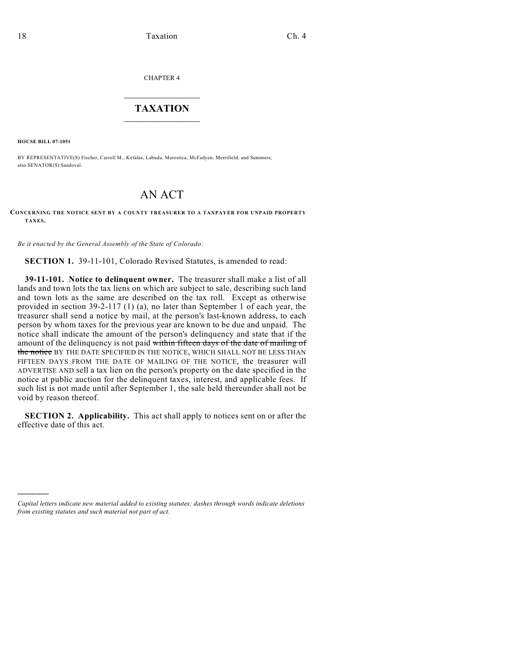CHAPTER 4

## $\mathcal{L}_\text{max}$  . The set of the set of the set of the set of the set of the set of the set of the set of the set of the set of the set of the set of the set of the set of the set of the set of the set of the set of the set **TAXATION**  $\_$

**HOUSE BILL 07-1051**

)))))

BY REPRESENTATIVE(S) Fischer, Carroll M., Kefalas, Labuda, Marostica, McFadyen, Merrifield, and Summers; also SENATOR(S) Sandoval.

## AN ACT

## **CONCERNING THE NOTICE SENT BY A COUNTY TREASURER TO A TAXPAYER FOR UNPAID PROPERTY TAXES.**

*Be it enacted by the General Assembly of the State of Colorado:*

**SECTION 1.** 39-11-101, Colorado Revised Statutes, is amended to read:

**39-11-101. Notice to delinquent owner.** The treasurer shall make a list of all lands and town lots the tax liens on which are subject to sale, describing such land and town lots as the same are described on the tax roll. Except as otherwise provided in section 39-2-117 (1) (a), no later than September 1 of each year, the treasurer shall send a notice by mail, at the person's last-known address, to each person by whom taxes for the previous year are known to be due and unpaid. The notice shall indicate the amount of the person's delinquency and state that if the amount of the delinquency is not paid within fifteen days of the date of mailing of the notice BY THE DATE SPECIFIED IN THE NOTICE, WHICH SHALL NOT BE LESS THAN FIFTEEN DAYS FROM THE DATE OF MAILING OF THE NOTICE, the treasurer will ADVERTISE AND sell a tax lien on the person's property on the date specified in the notice at public auction for the delinquent taxes, interest, and applicable fees. If such list is not made until after September 1, the sale held thereunder shall not be void by reason thereof.

**SECTION 2. Applicability.** This act shall apply to notices sent on or after the effective date of this act.

*Capital letters indicate new material added to existing statutes; dashes through words indicate deletions from existing statutes and such material not part of act.*